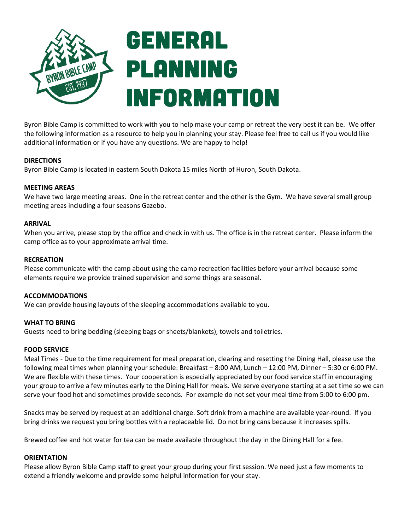

Byron Bible Camp is committed to work with you to help make your camp or retreat the very best it can be. We offer the following information as a resource to help you in planning your stay. Please feel free to call us if you would like additional information or if you have any questions. We are happy to help!

## **DIRECTIONS**

Byron Bible Camp is located in eastern South Dakota 15 miles North of Huron, South Dakota.

# **MEETING AREAS**

We have two large meeting areas. One in the retreat center and the other is the Gym. We have several small group meeting areas including a four seasons Gazebo.

## **ARRIVAL**

When you arrive, please stop by the office and check in with us. The office is in the retreat center. Please inform the camp office as to your approximate arrival time.

### **RECREATION**

Please communicate with the camp about using the camp recreation facilities before your arrival because some elements require we provide trained supervision and some things are seasonal.

## **ACCOMMODATIONS**

We can provide housing layouts of the sleeping accommodations available to you.

## **WHAT TO BRING**

Guests need to bring bedding (sleeping bags or sheets/blankets), towels and toiletries.

## **FOOD SERVICE**

Meal Times - Due to the time requirement for meal preparation, clearing and resetting the Dining Hall, please use the following meal times when planning your schedule: Breakfast – 8:00 AM, Lunch – 12:00 PM, Dinner – 5:30 or 6:00 PM. We are flexible with these times. Your cooperation is especially appreciated by our food service staff in encouraging your group to arrive a few minutes early to the Dining Hall for meals. We serve everyone starting at a set time so we can serve your food hot and sometimes provide seconds. For example do not set your meal time from 5:00 to 6:00 pm.

Snacks may be served by request at an additional charge. Soft drink from a machine are available year-round. If you bring drinks we request you bring bottles with a replaceable lid. Do not bring cans because it increases spills.

Brewed coffee and hot water for tea can be made available throughout the day in the Dining Hall for a fee.

#### **ORIENTATION**

Please allow Byron Bible Camp staff to greet your group during your first session. We need just a few moments to extend a friendly welcome and provide some helpful information for your stay.